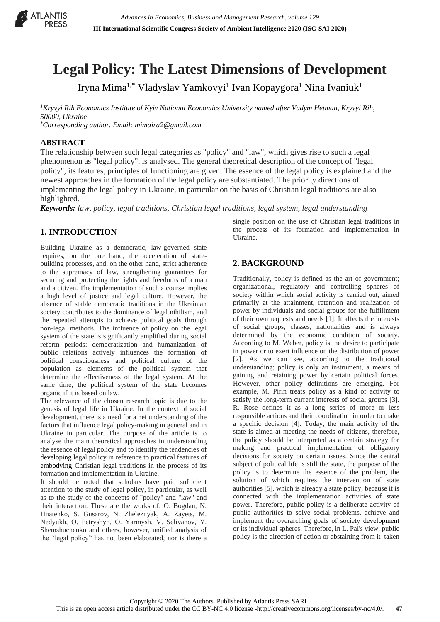

# **Legal Policy: The Latest Dimensions of Development**

Iryna Mima<sup>1,\*</sup> Vladyslav Yamkovyi<sup>1</sup> Ivan Kopaygora<sup>1</sup> Nina Ivaniuk<sup>1</sup>

*<sup>1</sup>Kryvyi Rih Economics Institute of Kyiv National Economics University named after Vadym Hetman, Kryvyi Rih, 50000, Ukraine \*Corresponding author. Email: mimaira2@gmail.com*

#### **ABSTRACT**

The relationship between such legal categories as "policy" and "law", which gives rise to such a legal phenomenon as "legal policy", is analysed. The general theoretical description of the concept of "legal policy", its features, principles of functioning are given. The essence of the legal policy is explained and the newest approaches in the formation of the legal policy are substantiated. The priority directions of implementing the legal policy in Ukraine, in particular on the basis of Christian legal traditions are also highlighted.

*Keywords: law, policy, legal traditions, Christian legal traditions, legal system, legal understanding*

## **1. INTRODUCTION**

Building Ukraine as a democratic, law-governed state requires, on the one hand, the acceleration of statebuilding processes, and, on the other hand, strict adherence to the supremacy of law, strengthening guarantees for securing and protecting the rights and freedoms of a man and a citizen. The implementation of such a course implies a high level of justice and legal culture. However, the absence of stable democratic traditions in the Ukrainian society contributes to the dominance of legal nihilism, and the repeated attempts to achieve political goals through non-legal methods. The influence of policy on the legal system of the state is significantly amplified during social reform periods: democratization and humanization of public relations actively influences the formation of political consciousness and political culture of the population as elements of the political system that determine the effectiveness of the legal system. At the same time, the political system of the state becomes organic if it is based on law.

The relevance of the chosen research topic is due to the genesis of legal life in Ukraine. In the context of social development, there is a need for a net understanding of the factors that influence legal policy-making in general and in Ukraine in particular. The purpose of the article is to analyse the main theoretical approaches in understanding the essence of legal policy and to identify the tendencies of developing legal policy in reference to practical features of embodying Christian legal traditions in the process of its formation and implementation in Ukraine.

It should be noted that scholars have paid sufficient attention to the study of legal policy, in particular, as well as to the study of the concepts of "policy" and "law" and their interaction. These are the works of: O. Bogdan, N. Hnatenko, S. Gusarov, N. Zheleznyak, A. Zayets, M. Nedyukh, O. Petryshyn, O. Yarmysh, V. Selivanov, Y. Shemshuchenko and others, however, unified analysis of the "legal policy" has not been elaborated, nor is there a

single position on the use of Christian legal traditions in the process of its formation and implementation in Ukraine.

### **2. BACKGROUND**

Traditionally, policy is defined as the art of government; organizational, regulatory and controlling spheres of society within which social activity is carried out, aimed primarily at the attainment, retention and realization of power by individuals and social groups for the fulfillment of their own requests and needs [1]. It affects the interests of social groups, classes, nationalities and is always determined by the economic condition of society. According to M. Weber, policy is the desire to participate in power or to exert influence on the distribution of power [2]. As we can see, according to the traditional understanding; policy is only an instrument, a means of gaining and retaining power by certain political forces. However, other policy definitions are emerging. For example, M. Pirin treats policy as a kind of activity to satisfy the long-term current interests of social groups [3]. R. Rose defines it as a long series of more or less responsible actions and their coordination in order to make a specific decision [4]. Today, the main activity of the state is aimed at meeting the needs of citizens, therefore, the policy should be interpreted as a certain strategy for making and practical implementation of obligatory decisions for society on certain issues. Since the central subject of political life is still the state, the purpose of the policy is to determine the essence of the problem, the solution of which requires the intervention of state authorities [5], which is already a state policy, because it is connected with the implementation activities of state power. Therefore, public policy is a deliberate activity of public authorities to solve social problems, achieve and implement the overarching goals of society development or its individual spheres. Therefore, in L. Pal's view, public policy is the direction of action or abstaining from it taken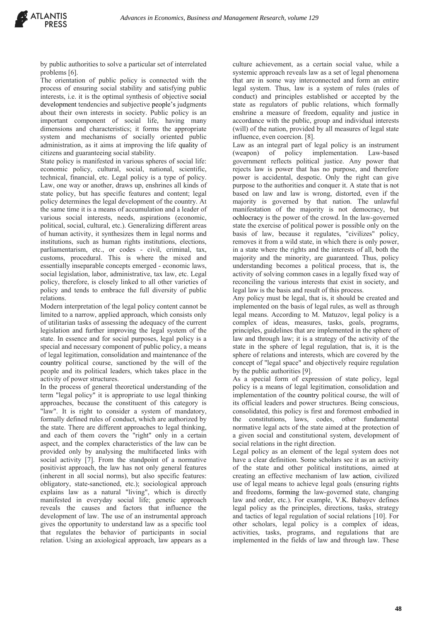by public authorities to solve a particular set of interrelated problems [6].

The orientation of public policy is connected with the process of ensuring social stability and satisfying public interests, i.e. it is the optimal synthesis of objective social development tendencies and subjective people's judgments about their own interests in society. Public policy is an important component of social life, having many dimensions and characteristics; it forms the appropriate system and mechanisms of socially oriented public administration, as it aims at improving the life quality of citizens and guaranteeing social stability.

State policy is manifested in various spheres of social life: economic policy, cultural, social, national, scientific, technical, financial, etc. Legal policy is a type of policy. Law, one way or another, draws up, enshrines all kinds of state policy, but has specific features and content; legal policy determines the legal development of the country. At the same time it is a means of accumulation and a leader of various social interests, needs, aspirations (economic, political, social, cultural, etc.). Generalizing different areas of human activity, it synthesizes them in legal norms and institutions, such as human rights institutions, elections, parliamentarism, etc., or codes - civil, criminal, tax, customs, procedural. This is where the mixed and essentially inseparable concepts emerged - economic laws, social legislation, labor, administrative, tax law, etc. Legal policy, therefore, is closely linked to all other varieties of policy and tends to embrace the full diversity of public relations.

Modern interpretation of the legal policy content cannot be limited to a narrow, applied approach, which consists only of utilitarian tasks of assessing the adequacy of the current legislation and further improving the legal system of the state. In essence and for social purposes, legal policy is a special and necessary component of public policy, a means of legal legitimation, consolidation and maintenance of the country political course, sanctioned by the will of the people and its political leaders, which takes place in the activity of power structures.

In the process of general theoretical understanding of the term "legal policy" it is appropriate to use legal thinking approaches, because the constituent of this category is "law". It is right to consider a system of mandatory, formally defined rules of conduct, which are authorized by the state. There are different approaches to legal thinking, and each of them covers the "right" only in a certain aspect, and the complex characteristics of the law can be provided only by analysing the multifaceted links with social activity [7]. From the standpoint of a normative positivist approach, the law has not only general features (inherent in all social norms), but also specific features: obligatory, state-sanctioned, etc.); sociological approach explains law as a natural "living", which is directly manifested in everyday social life; genetic approach reveals the causes and factors that influence the development of law. The use of an instrumental approach gives the opportunity to understand law as a specific tool that regulates the behavior of participants in social relation. Using an axiological approach, law appears as a

culture achievement, as a certain social value, while a systemic approach reveals law as a set of legal phenomena that are in some way interconnected and form an entire legal system. Thus, law is a system of rules (rules of conduct) and principles established or accepted by the state as regulators of public relations, which formally enshrine a measure of freedom, equality and justice in accordance with the public, group and individual interests (will) of the nation, provided by all measures of legal state influence, even coercion. [8].

Law as an integral part of legal policy is an instrument (weapon) of policy implementation. Law-based government reflects political justice. Any power that rejects law is power that has no purpose, and therefore power is accidental, despotic. Only the right can give purpose to the authorities and conquer it. A state that is not based on law and law is wrong, distorted, even if the majority is governed by that nation. The unlawful manifestation of the majority is not democracy, but ochlocracy is the power of the crowd. In the law-governed state the exercise of political power is possible only on the basis of law, because it regulates, "civilizes" policy, removes it from a wild state, in which there is only power, in a state where the rights and the interests of all, both the majority and the minority, are guaranteed. Thus, policy understanding becomes a political process, that is, the activity of solving common cases in a legally fixed way of reconciling the various interests that exist in society, and legal law is the basis and result of this process.

Any policy must be legal, that is, it should be created and implemented on the basis of legal rules, as well as through legal means. According to M. Matuzov, legal policy is a complex of ideas, measures, tasks, goals, programs, principles, guidelines that are implemented in the sphere of law and through law; it is a strategy of the activity of the state in the sphere of legal regulation, that is, it is the sphere of relations and interests, which are covered by the concept of "legal space" and objectively require regulation by the public authorities [9].

As a special form of expression of state policy, legal policy is a means of legal legitimation, consolidation and implementation of the country political course, the will of its official leaders and power structures. Being conscious, consolidated, this policy is first and foremost embodied in the constitutions, laws, codes, other fundamental normative legal acts of the state aimed at the protection of a given social and constitutional system, development of social relations in the right direction.

Legal policy as an element of the legal system does not have a clear definition. Some scholars see it as an activity of the state and other political institutions, aimed at creating an effective mechanism of law action, civilized use of legal means to achieve legal goals (ensuring rights and freedoms, forming the law-governed state, changing law and order, etc.). For example, V.K. Babayev defines legal policy as the principles, directions, tasks, strategy and tactics of legal regulation of social relations [10]. For other scholars, legal policy is a complex of ideas, activities, tasks, programs, and regulations that are implemented in the fields of law and through law. These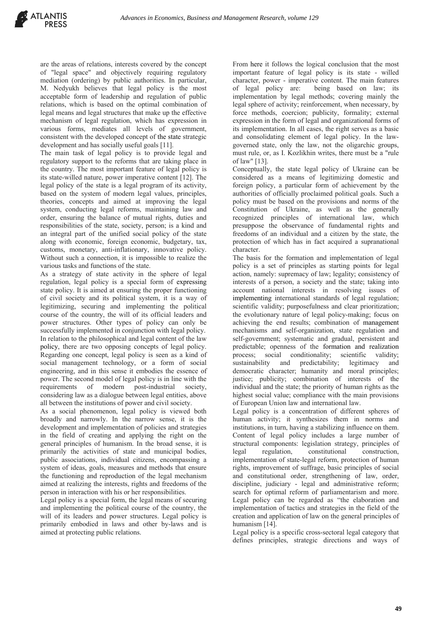are the areas of relations, interests covered by the concept of "legal space" and objectively requiring regulatory mediation (ordering) by public authorities. In particular, M. Nedyukh believes that legal policy is the most acceptable form of leadership and regulation of public relations, which is based on the optimal combination of legal means and legal structures that make up the effective mechanism of legal regulation, which has expression in various forms, mediates all levels of government, consistent with the developed concept of the state strategic development and has socially useful goals [11].

The main task of legal policy is to provide legal and regulatory support to the reforms that are taking place in the country. The most important feature of legal policy is its state-willed nature, power imperative content [12]. The legal policy of the state is a legal program of its activity, based on the system of modern legal values, principles, theories, concepts and aimed at improving the legal system, conducting legal reforms, maintaining law and order, ensuring the balance of mutual rights, duties and responsibilities of the state, society, person; is a kind and an integral part of the unified social policy of the state along with economic, foreign economic, budgetary, tax, customs, monetary, anti-inflationary, innovative policy. Without such a connection, it is impossible to realize the various tasks and functions of the state.

As a strategy of state activity in the sphere of legal regulation, legal policy is a special form of expressing state policy. It is aimed at ensuring the proper functioning of civil society and its political system, it is a way of legitimizing, securing and implementing the political course of the country, the will of its official leaders and power structures. Other types of policy can only be successfully implemented in conjunction with legal policy. In relation to the philosophical and legal content of the law policy, there are two opposing concepts of legal policy. Regarding one concept, legal policy is seen as a kind of social management technology, or a form of social engineering, and in this sense it embodies the essence of power. The second model of legal policy is in line with the requirements of modern post-industrial society, considering law as a dialogue between legal entities, above all between the institutions of power and civil society.

As a social phenomenon, legal policy is viewed both broadly and narrowly. In the narrow sense, it is the development and implementation of policies and strategies in the field of creating and applying the right on the general principles of humanism. In the broad sense, it is primarily the activities of state and municipal bodies, public associations, individual citizens, encompassing a system of ideas, goals, measures and methods that ensure the functioning and reproduction of the legal mechanism aimed at realizing the interests, rights and freedoms of the person in interaction with his or her responsibilities.

Legal policy is a special form, the legal means of securing and implementing the political course of the country, the will of its leaders and power structures. Legal policy is primarily embodied in laws and other by-laws and is aimed at protecting public relations.

From here it follows the logical conclusion that the most important feature of legal policy is its state - willed character, power - imperative content. The main features of legal policy are: being based on law; its implementation by legal methods; covering mainly the legal sphere of activity; reinforcement, when necessary, by force methods, coercion; publicity, formality; external expression in the form of legal and organizational forms of its implementation. In all cases, the right serves as a basic and consolidating element of legal policy. In the lawgoverned state, only the law, not the oligarchic groups, must rule, or, as I. Kozlikhin writes, there must be a "rule of law" [13].

Conceptually, the state legal policy of Ukraine can be considered as a means of legitimizing domestic and foreign policy, a particular form of achievement by the authorities of officially proclaimed political goals. Such a policy must be based on the provisions and norms of the Constitution of Ukraine, as well as the generally recognized principles of international law, which presuppose the observance of fundamental rights and freedoms of an individual and a citizen by the state, the protection of which has in fact acquired a supranational character.

The basis for the formation and implementation of legal policy is a set of principles as starting points for legal action, namely: supremacy of law; legality; consistency of interests of a person, a society and the state; taking into account national interests in resolving issues of implementing international standards of legal regulation; scientific validity; purposefulness and clear prioritization; the evolutionary nature of legal policy-making; focus on achieving the end results; combination of management mechanisms and self-organization, state regulation and self-government; systematic and gradual, persistent and predictable; openness of the formation and realization process; social conditionality; scientific validity; sustainability and predictability; legitimacy and democratic character; humanity and moral principles; justice; publicity; combination of interests of the individual and the state; the priority of human rights as the highest social value; compliance with the main provisions of European Union law and international law.

Legal policy is a concentration of different spheres of human activity; it synthesizes them in norms and institutions, in turn, having a stabilizing influence on them. Content of legal policy includes a large number of structural components: legislation strategy, principles of legal regulation, constitutional construction, implementation of state-legal reform, protection of human rights, improvement of suffrage, basic principles of social and constitutional order, strengthening of law, order, discipline, judiciary - legal and administrative reform; search for optimal reform of parliamentarism and more. Legal policy can be regarded as "the elaboration and implementation of tactics and strategies in the field of the creation and application of law on the general principles of humanism [14].

Legal policy is a specific cross-sectoral legal category that defines principles, strategic directions and ways of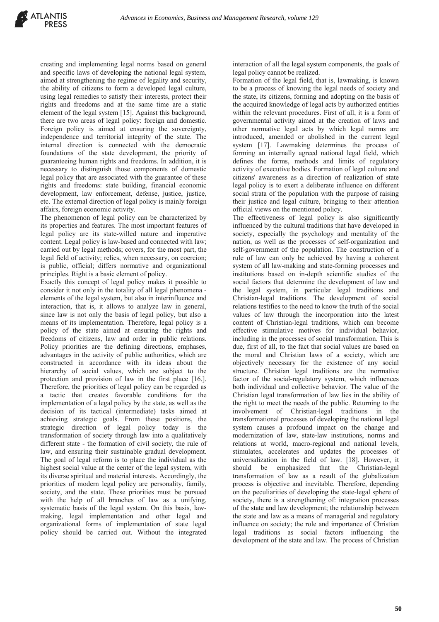creating and implementing legal norms based on general and specific laws of developing the national legal system, aimed at strengthening the regime of legality and security, the ability of citizens to form a developed legal culture, using legal remedies to satisfy their interests, protect their rights and freedoms and at the same time are a static element of the legal system [15]. Against this background, there are two areas of legal policy: foreign and domestic. Foreign policy is aimed at ensuring the sovereignty, independence and territorial integrity of the state. The internal direction is connected with the democratic foundations of the state development, the priority of guaranteeing human rights and freedoms. In addition, it is necessary to distinguish those components of domestic legal policy that are associated with the guarantee of these rights and freedoms: state building, financial economic development, law enforcement, defense, justice, justice, etc. The external direction of legal policy is mainly foreign affairs, foreign economic activity.

The phenomenon of legal policy can be characterized by its properties and features. The most important features of legal policy are its state-willed nature and imperative content. Legal policy is law-based and connected with law; carried out by legal methods; covers, for the most part, the legal field of activity; relies, when necessary, on coercion; is public, official; differs normative and organizational principles. Right is a basic element of policy.

Exactly this concept of legal policy makes it possible to consider it not only in the totality of all legal phenomena elements of the legal system, but also in interinfluence and interaction, that is, it allows to analyze law in general, since law is not only the basis of legal policy, but also a means of its implementation. Therefore, legal policy is a policy of the state aimed at ensuring the rights and freedoms of citizens, law and order in public relations. Policy priorities are the defining directions, emphases, advantages in the activity of public authorities, which are constructed in accordance with its ideas about the hierarchy of social values, which are subject to the protection and provision of law in the first place [16.]. Therefore, the priorities of legal policy can be regarded as a tactic that creates favorable conditions for the implementation of a legal policy by the state, as well as the decision of its tactical (intermediate) tasks aimed at achieving strategic goals. From these positions, the strategic direction of legal policy today is the transformation of society through law into a qualitatively different state - the formation of civil society, the rule of law, and ensuring their sustainable gradual development. The goal of legal reform is to place the individual as the highest social value at the center of the legal system, with its diverse spiritual and material interests. Accordingly, the priorities of modern legal policy are personality, family, society, and the state. These priorities must be pursued with the help of all branches of law as a unifying, systematic basis of the legal system. On this basis, lawmaking, legal implementation and other legal and organizational forms of implementation of state legal policy should be carried out. Without the integrated

interaction of all the legal system components, the goals of legal policy cannot be realized.

Formation of the legal field, that is, lawmaking, is known to be a process of knowing the legal needs of society and the state, its citizens, forming and adopting on the basis of the acquired knowledge of legal acts by authorized entities within the relevant procedures. First of all, it is a form of governmental activity aimed at the creation of laws and other normative legal acts by which legal norms are introduced, amended or abolished in the current legal system [17]. Lawmaking determines the process of forming an internally agreed national legal field, which defines the forms, methods and limits of regulatory activity of executive bodies. Formation of legal culture and citizens' awareness as a direction of realization of state legal policy is to exert a deliberate influence on different social strata of the population with the purpose of raising their justice and legal culture, bringing to their attention official views on the mentioned policy.

The effectiveness of legal policy is also significantly influenced by the cultural traditions that have developed in society, especially the psychology and mentality of the nation, as well as the processes of self-organization and self-government of the population. The construction of a rule of law can only be achieved by having a coherent system of all law-making and state-forming processes and institutions based on in-depth scientific studies of the social factors that determine the development of law and the legal system, in particular legal traditions and Christian-legal traditions. The development of social relations testifies to the need to know the truth of the social values of law through the incorporation into the latest content of Christian-legal traditions, which can become effective stimulative motives for individual behavior, including in the processes of social transformation. This is due, first of all, to the fact that social values are based on the moral and Christian laws of a society, which are objectively necessary for the existence of any social structure. Christian legal traditions are the normative factor of the social-regulatory system, which influences both individual and collective behavior. The value of the Christian legal transformation of law lies in the ability of the right to meet the needs of the public. Returning to the involvement of Christian-legal traditions in the transformational processes of developing the national legal system causes a profound impact on the change and modernization of law, state-law institutions, norms and relations at world, macro-regional and national levels, stimulates, accelerates and updates the processes of universalization in the field of law. [18]. However, it should be emphasized that the Christian-legal transformation of law as a result of the globalization process is objective and inevitable. Therefore, depending on the peculiarities of developing the state-legal sphere of society, there is a strengthening of: integration processes of the state and law development; the relationship between the state and law as a means of managerial and regulatory influence on society; the role and importance of Christian legal traditions as social factors influencing the development of the state and law. The process of Christian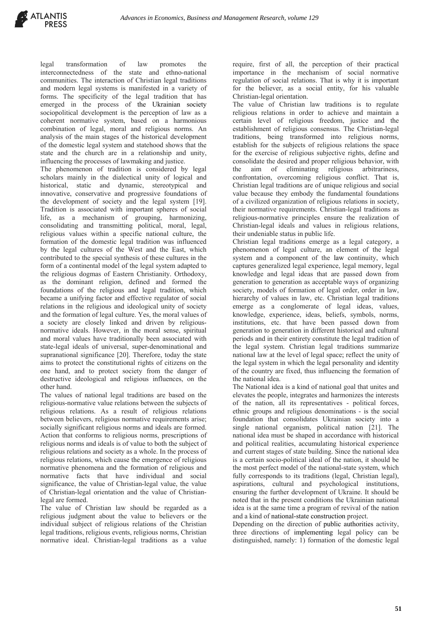

legal transformation of law promotes the interconnectedness of the state and ethno-national communities. The interaction of Christian legal traditions and modern legal systems is manifested in a variety of forms. The specificity of the legal tradition that has emerged in the process of the Ukrainian society sociopolitical development is the perception of law as a coherent normative system, based on a harmonious combination of legal, moral and religious norms. An analysis of the main stages of the historical development of the domestic legal system and statehood shows that the state and the church are in a relationship and unity, influencing the processes of lawmaking and justice.

The phenomenon of tradition is considered by legal scholars mainly in the dialectical unity of logical and historical, static and dynamic, stereotypical and innovative, conservative and progressive foundations of the development of society and the legal system [19]. Tradition is associated with important spheres of social life, as a mechanism of grouping, harmonizing, consolidating and transmitting political, moral, legal, religious values within a specific national culture, the formation of the domestic legal tradition was influenced by the legal cultures of the West and the East, which contributed to the special synthesis of these cultures in the form of a continental model of the legal system adapted to the religious dogmas of Eastern Christianity. Orthodoxy, as the dominant religion, defined and formed the foundations of the religious and legal tradition, which became a unifying factor and effective regulator of social relations in the religious and ideological unity of society and the formation of legal culture. Yes, the moral values of a society are closely linked and driven by religiousnormative ideals. However, in the moral sense, spiritual and moral values have traditionally been associated with state-legal ideals of universal, super-denominational and supranational significance [20]. Therefore, today the state aims to protect the constitutional rights of citizens on the one hand, and to protect society from the danger of destructive ideological and religious influences, on the other hand.

The values of national legal traditions are based on the religious-normative value relations between the subjects of religious relations. As a result of religious relations between believers, religious normative requirements arise; socially significant religious norms and ideals are formed. Action that conforms to religious norms, prescriptions of religious norms and ideals is of value to both the subject of religious relations and society as a whole. In the process of religious relations, which cause the emergence of religious normative phenomena and the formation of religious and normative facts that have individual and social significance, the value of Christian-legal value, the value of Christian-legal orientation and the value of Christianlegal are formed.

The value of Christian law should be regarded as a religious judgment about the value to believers or the individual subject of religious relations of the Christian legal traditions, religious events, religious norms, Christian normative ideal. Christian-legal traditions as a value

require, first of all, the perception of their practical importance in the mechanism of social normative regulation of social relations. That is why it is important for the believer, as a social entity, for his valuable Christian-legal orientation.

The value of Christian law traditions is to regulate religious relations in order to achieve and maintain a certain level of religious freedom, justice and the establishment of religious consensus. The Christian-legal traditions, being transformed into religious norms, establish for the subjects of religious relations the space for the exercise of religious subjective rights, define and consolidate the desired and proper religious behavior, with the aim of eliminating religious arbitrariness, confrontation, overcoming religious conflict. That is, Christian legal traditions are of unique religious and social value because they embody the fundamental foundations of a civilized organization of religious relations in society, their normative requirements. Christian-legal traditions as religious-normative principles ensure the realization of Christian-legal ideals and values in religious relations, their undeniable status in public life.

Christian legal traditions emerge as a legal category, a phenomenon of legal culture, an element of the legal system and a component of the law continuity, which captures generalized legal experience, legal memory, legal knowledge and legal ideas that are passed down from generation to generation as acceptable ways of organizing society, models of formation of legal order, order in law, hierarchy of values in law, etc. Christian legal traditions emerge as a conglomerate of legal ideas, values, knowledge, experience, ideas, beliefs, symbols, norms, institutions, etc. that have been passed down from generation to generation in different historical and cultural periods and in their entirety constitute the legal tradition of the legal system. Christian legal traditions summarize national law at the level of legal space; reflect the unity of the legal system in which the legal personality and identity of the country are fixed, thus influencing the formation of the national idea.

The National idea is a kind of national goal that unites and elevates the people, integrates and harmonizes the interests of the nation, all its representatives - political forces, ethnic groups and religious denominations - is the social foundation that consolidates Ukrainian society into a single national organism, political nation [21]. The national idea must be shaped in accordance with historical and political realities, accumulating historical experience and current stages of state building. Since the national idea is a certain socio-political ideal of the nation, it should be the most perfect model of the national-state system, which fully corresponds to its traditions (legal, Christian legal), aspirations, cultural and psychological institutions, ensuring the further development of Ukraine. It should be noted that in the present conditions the Ukrainian national idea is at the same time a program of revival of the nation and a kind of national-state construction project.

Depending on the direction of public authorities activity, three directions of implementing legal policy can be distinguished, namely: 1) formation of the domestic legal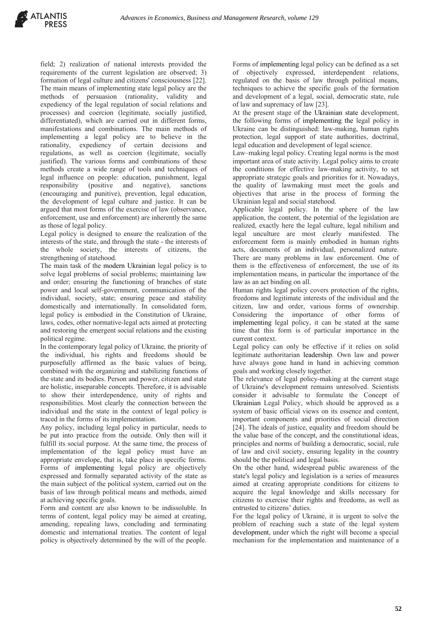field; 2) realization of national interests provided the requirements of the current legislation are observed; 3) formation of legal culture and citizens' consciousness [22]. The main means of implementing state legal policy are the methods of persuasion (rationality, validity and expediency of the legal regulation of social relations and processes) and coercion (legitimate, socially justified, differentiated), which are carried out in different forms, manifestations and combinations. The main methods of implementing a legal policy are to believe in the rationality, expediency of certain decisions and regulations, as well as coercion (legitimate, socially justified). The various forms and combinations of these methods create a wide range of tools and techniques of legal influence on people: education, punishment, legal responsibility (positive and negative), sanctions (encouraging and punitive), prevention, legal education, the development of legal culture and justice. It can be argued that most forms of the exercise of law (observance, enforcement, use and enforcement) are inherently the same as those of legal policy.

Legal policy is designed to ensure the realization of the interests of the state, and through the state - the interests of the whole society, the interests of citizens, the strengthening of statehood.

The main task of the modern Ukrainian legal policy is to solve legal problems of social problems; maintaining law and order; ensuring the functioning of branches of state power and local self-government, communication of the individual, society, state; ensuring peace and stability domestically and internationally. In consolidated form, legal policy is embodied in the Constitution of Ukraine, laws, codes, other normative-legal acts aimed at protecting and restoring the emergent social relations and the existing political regime.

In the contemporary legal policy of Ukraine, the priority of the individual, his rights and freedoms should be purposefully affirmed as the basic values of being, combined with the organizing and stabilizing functions of the state and its bodies. Person and power, citizen and state are holistic, inseparable concepts. Therefore, it is advisable to show their interdependence, unity of rights and responsibilities. Most clearly the connection between the individual and the state in the context of legal policy is traced in the forms of its implementation.

Any policy, including legal policy in particular, needs to be put into practice from the outside. Only then will it fulfill its social purpose. At the same time, the process of implementation of the legal policy must have an appropriate envelope, that is, take place in specific forms. Forms of implementing legal policy are objectively expressed and formally separated activity of the state as the main subject of the political system, carried out on the basis of law through political means and methods, aimed at achieving specific goals.

Form and content are also known to be indissoluble. In terms of content, legal policy may be aimed at creating, amending, repealing laws, concluding and terminating domestic and international treaties. The content of legal policy is objectively determined by the will of the people.

Forms of implementing legal policy can be defined as a set of objectively expressed, interdependent relations, regulated on the basis of law through political means, techniques to achieve the specific goals of the formation and development of a legal, social, democratic state, rule of law and supremacy of law [23].

At the present stage of the Ukrainian state development, the following forms of implementing the legal policy in Ukraine can be distinguished: law-making, human rights protection, legal support of state authorities, doctrinal, legal education and development of legal science.

Law–making legal policy. Creating legal norms is the most important area of state activity. Legal policy aims to create the conditions for effective law-making activity, to set appropriate strategic goals and priorities for it. Nowadays, the quality of lawmaking must meet the goals and objectives that arise in the process of forming the Ukrainian legal and social statehood.

Applicable legal policy. In the sphere of the law application, the content, the potential of the legislation are realized, exactly here the legal culture, legal nihilism and legal unculture are most clearly manifested. The enforcement form is mainly embodied in human rights acts, documents of an individual, personalized nature. There are many problems in law enforcement. One of them is the effectiveness of enforcement, the use of its implementation means, in particular the importance of the law as an act binding on all.

Human rights legal policy covers protection of the rights, freedoms and legitimate interests of the individual and the citizen, law and order, various forms of ownership. Considering the importance of other forms of implementing legal policy, it can be stated at the same time that this form is of particular importance in the current context.

Legal policy can only be effective if it relies on solid legitimate authoritarian leadership. Own law and power have always gone hand in hand in achieving common goals and working closely together.

The relevance of legal policy-making at the current stage of Ukraine's development remains unresolved. Scientists consider it advisable to formulate the Concept of Ukrainian Legal Policy, which should be approved as a system of basic official views on its essence and content, important components and priorities of social direction [24]. The ideals of justice, equality and freedom should be the value base of the concept, and the constitutional ideas, principles and norms of building a democratic, social, rule of law and civil society, ensuring legality in the country should be the political and legal basis.

On the other hand, widespread public awareness of the state's legal policy and legislation is a series of measures aimed at creating appropriate conditions for citizens to acquire the legal knowledge and skills necessary for citizens to exercise their rights and freedoms, as well as entrusted to citizens' duties.

For the legal policy of Ukraine, it is urgent to solve the problem of reaching such a state of the legal system development, under which the right will become a special mechanism for the implementation and maintenance of a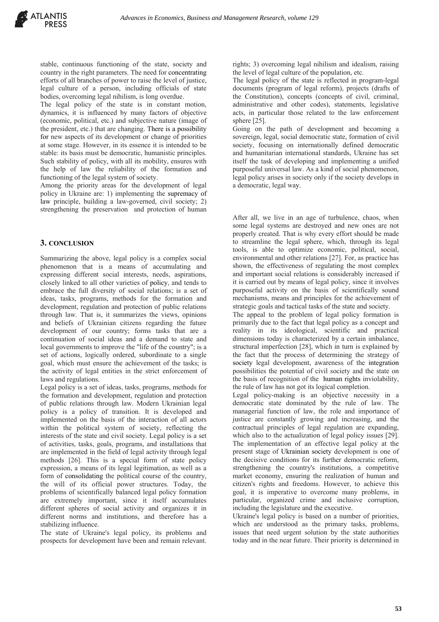stable, continuous functioning of the state, society and country in the right parameters. The need for concentrating efforts of all branches of power to raise the level of justice, legal culture of a person, including officials of state bodies, overcoming legal nihilism, is long overdue.

The legal policy of the state is in constant motion, dynamics, it is influenced by many factors of objective (economic, political, etc.) and subjective nature (image of the president, etc.) that are changing. There is a possibility for new aspects of its development or change of priorities at some stage. However, in its essence it is intended to be stable: its basis must be democratic, humanistic principles. Such stability of policy, with all its mobility, ensures with the help of law the reliability of the formation and functioning of the legal system of society.

Among the priority areas for the development of legal policy in Ukraine are: 1) implementing the supremacy of law principle, building a law-governed, civil society; 2) strengthening the preservation and protection of human

#### **3. CONCLUSION**

Summarizing the above, legal policy is a complex social phenomenon that is a means of accumulating and expressing different social interests, needs, aspirations, closely linked to all other varieties of policy, and tends to embrace the full diversity of social relations; is a set of ideas, tasks, programs, methods for the formation and development, regulation and protection of public relations through law. That is, it summarizes the views, opinions and beliefs of Ukrainian citizens regarding the future development of our country; forms tasks that are a continuation of social ideas and a demand to state and local governments to improve the "life of the country"; is a set of actions, logically ordered, subordinate to a single goal, which must ensure the achievement of the tasks; is the activity of legal entities in the strict enforcement of laws and regulations.

Legal policy is a set of ideas, tasks, programs, methods for the formation and development, regulation and protection of public relations through law. Modern Ukrainian legal policy is a policy of transition. It is developed and implemented on the basis of the interaction of all actors within the political system of society, reflecting the interests of the state and civil society. Legal policy is a set of activities, tasks, goals, programs, and installations that are implemented in the field of legal activity through legal methods [26]. This is a special form of state policy expression, a means of its legal legitimation, as well as a form of consolidating the political course of the country, the will of its official power structures. Today, the problems of scientifically balanced legal policy formation are extremely important, since it itself accumulates different spheres of social activity and organizes it in different norms and institutions, and therefore has a stabilizing influence.

The state of Ukraine's legal policy, its problems and prospects for development have been and remain relevant. rights; 3) overcoming legal nihilism and idealism, raising the level of legal culture of the population, etc.

The legal policy of the state is reflected in program-legal documents (program of legal reform), projects (drafts of the Constitution), concepts (concepts of civil, criminal, administrative and other codes), statements, legislative acts, in particular those related to the law enforcement sphere [25].

Going on the path of development and becoming a sovereign, legal, social democratic state, formation of civil society, focusing on internationally defined democratic and humanitarian international standards, Ukraine has set itself the task of developing and implementing a unified purposeful universal law. As a kind of social phenomenon, legal policy arises in society only if the society develops in a democratic, legal way.

After all, we live in an age of turbulence, chaos, when some legal systems are destroyed and new ones are not properly created. That is why every effort should be made to streamline the legal sphere, which, through its legal tools, is able to optimize economic, political, social, environmental and other relations [27]. For, as practice has shown, the effectiveness of regulating the most complex and important social relations is considerably increased if it is carried out by means of legal policy, since it involves purposeful activity on the basis of scientifically sound mechanisms, means and principles for the achievement of strategic goals and tactical tasks of the state and society.

The appeal to the problem of legal policy formation is primarily due to the fact that legal policy as a concept and reality in its ideological, scientific and practical dimensions today is characterized by a certain imbalance, structural imperfection [28], which in turn is explained by the fact that the process of determining the strategy of society legal development, awareness of the integration possibilities the potential of civil society and the state on the basis of recognition of the human rights inviolability, the rule of law has not got its logical completion.

Legal policy-making is an objective necessity in a democratic state dominated by the rule of law. The managerial function of law, the role and importance of justice are constantly growing and increasing, and the contractual principles of legal regulation are expanding, which also to the actualization of legal policy issues [29]. The implementation of an effective legal policy at the present stage of Ukrainian society development is one of the decisive conditions for its further democratic reform, strengthening the country's institutions, a competitive market economy, ensuring the realization of human and citizen's rights and freedoms. However, to achieve this goal, it is imperative to overcome many problems, in particular, organized crime and inclusive corruption, including the legislature and the executive.

Ukraine's legal policy is based on a number of priorities, which are understood as the primary tasks, problems, issues that need urgent solution by the state authorities today and in the near future. Their priority is determined in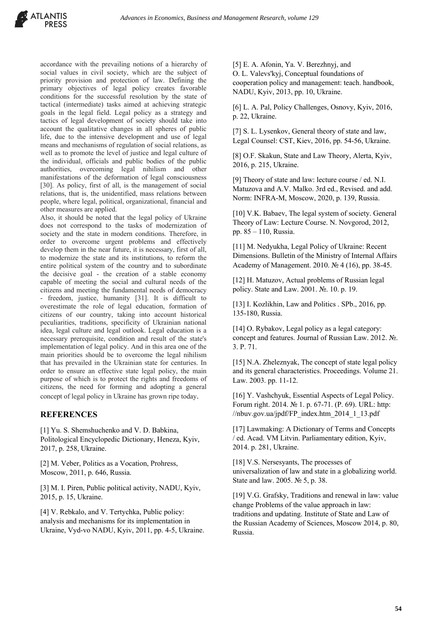accordance with the prevailing notions of a hierarchy of social values in civil society, which are the subject of priority provision and protection of law. Defining the primary objectives of legal policy creates favorable conditions for the successful resolution by the state of tactical (intermediate) tasks aimed at achieving strategic goals in the legal field. Legal policy as a strategy and tactics of legal development of society should take into account the qualitative changes in all spheres of public life, due to the intensive development and use of legal means and mechanisms of regulation of social relations, as well as to promote the level of justice and legal culture of the individual, officials and public bodies of the public authorities, overcoming legal nihilism and other manifestations of the deformation of legal consciousness [30]. As policy, first of all, is the management of social relations, that is, the unidentified, mass relations between people, where legal, political, organizational, financial and other measures are applied.

Also, it should be noted that the legal policy of Ukraine does not correspond to the tasks of modernization of society and the state in modern conditions. Therefore, in order to overcome urgent problems and effectively develop them in the near future, it is necessary, first of all, to modernize the state and its institutions, to reform the entire political system of the country and to subordinate the decisive goal - the creation of a stable economy capable of meeting the social and cultural needs of the citizens and meeting the fundamental needs of democracy - freedom, justice, humanity [31]. It is difficult to overestimate the role of legal education, formation of citizens of our country, taking into account historical peculiarities, traditions, specificity of Ukrainian national idea, legal culture and legal outlook. Legal education is a necessary prerequisite, condition and result of the state's implementation of legal policy. And in this area one of the main priorities should be to overcome the legal nihilism that has prevailed in the Ukrainian state for centuries. In order to ensure an effective state legal policy, the main purpose of which is to protect the rights and freedoms of citizens, the need for forming and adopting a general concept of legal policy in Ukraine has grown ripe today.

#### **REFERENCES**

[1] Yu. S. Shemshuchenko and V. D. Babkina, Politological Encyclopedic Dictionary, Heneza, Kyiv, 2017, p. 258, Ukraine.

[2] M. Veber, Politics as a Vocation, Prohress, Moscow, 2011, p. 646, Russia.

[3] M. I. Piren, Public political activity, NADU, Kyiv, 2015, p. 15, Ukraine.

[4] V. Rebkalo, and V. Tertychka, Public policy: analysis and mechanisms for its implementation in Ukraine, Vyd-vo NADU, Kyiv, 2011, pp. 4-5, Ukraine. [5] E. A. Afonin, Ya. V. Berezhnyj, and O. L. Valevs'kyj, Conceptual foundations of cooperation policy and management: teach. handbook, NADU, Kyiv, 2013, pp. 10, Ukraine.

[6] L. A. Pal, Policy Challenges, Osnovy, Kyiv, 2016, p. 22, Ukraine.

[7] S. L. Lysenkov, General theory of state and law, Legal Counsel: CST, Kiev, 2016, pp. 54-56, Ukraine.

[8] O.F. Skakun, State and Law Theory, Alerta, Kyiv, 2016, p. 215, Ukraine.

[9] Theory of state and law: lecture course / ed. N.I. Matuzova and A.V. Malko. 3rd ed., Revised. and add. Norm: INFRA-M, Moscow, 2020, p. 139, Russia.

[10] V.K. Babaev, The legal system of society. General Theory of Law: Lecture Course. N. Novgorod, 2012, pp. 85 – 110, Russia.

[11] M. Nedyukha, Legal Policy of Ukraine: Recent Dimensions. Bulletin of the Ministry of Internal Affairs Academy of Management. 2010. № 4 (16), pp. 38-45.

[12] H. Matuzov, Actual problems of Russian legal policy. State and Law. 2001. №. 10. p. 19.

[13] I. Kozlikhin, Law and Politics . SPb., 2016, pp. 135-180, Russia.

[14] O. Rybakov, Legal policy as a legal category: concept and features. Journal of Russian Law. 2012. №. 3. P. 71.

[15] N.A. Zheleznyak, The concept of state legal policy and its general characteristics. Proceedings. Volume 21. Law. 2003. pp. 11-12.

[16] Y. Vashchyuk, Essential Aspects of Legal Policy. Forum right. 2014. № 1. p. 67-71. (P. 69). URL: http: //nbuv.gov.ua/jpdf/FP\_index.htm\_2014\_1\_13.pdf

[17] Lawmaking: A Dictionary of Terms and Concepts / ed. Acad. VM Litvin. Parliamentary edition, Kyiv, 2014. p. 281, Ukraine.

[18] V.S. Nersesyants, The processes of universalization of law and state in a globalizing world. State and law. 2005. № 5, p. 38.

[19] V.G. Grafsky, Traditions and renewal in law: value change Problems of the value approach in law: traditions and updating. Institute of State and Law of the Russian Academy of Sciences, Moscow 2014, p. 80, Russia.